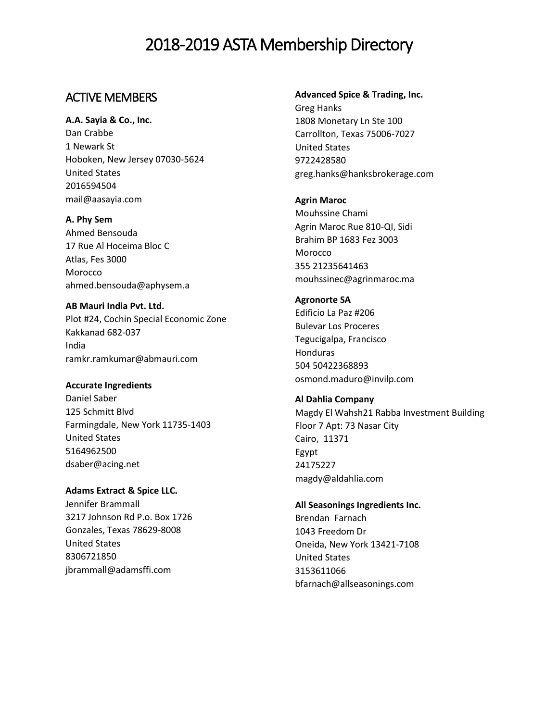## ACTIVE MEMBERS

**A.A. Sayia & Co., Inc.** Dan Crabbe 1 Newark St Hoboken, New Jersey 07030-5624 United States 2016594504 [mail@aasayia.com](mailto:mail@aasayia.com)

**A. Phy Sem** Ahmed Bensouda 17 Rue Al Hoceima Bloc C Atlas, Fes 3000 Morocco ahmed.bensouda@aphysem.a

**AB Mauri India Pvt. Ltd.**  Plot #24, Cochin Special Economic Zone Kakkanad 682-037 India ramkr.ramkumar@abmauri.com

**Accurate Ingredients** Daniel Saber 125 Schmitt Blvd Farmingdale, New York 11735-1403 United States 5164962500 dsaber@acing.net

**Adams Extract & Spice LLC.** Jennifer Brammall 3217 Johnson Rd P.o. Box 1726 Gonzales, Texas 78629-8008 United States 8306721850 jbrammall@adamsffi.com

**Advanced Spice & Trading, Inc.** Greg Hanks

1808 Monetary Ln Ste 100 Carrollton, Texas 75006-7027 United States 9722428580 greg.hanks@hanksbrokerage.com

**Agrin Maroc**  Mouhssine Chami Agrin Maroc Rue 810-QI, Sidi Brahim BP 1683 Fez 3003 Morocco 355 21235641463 mouhssinec@agrinmaroc.ma

**Agronorte SA**  Edificio La Paz #206 Bulevar Los Proceres Tegucigalpa, Francisco Honduras 504 50422368893 osmond.maduro@invilp.com

**Al Dahlia Company**  Magdy El Wahsh21 Rabba Investment Building Floor 7 Apt: 73 Nasar City Cairo, 11371 Egypt 24175227 magdy@aldahlia.com

**All Seasonings Ingredients Inc.**  Brendan Farnach 1043 Freedom Dr Oneida, New York 13421-7108 United States 3153611066 bfarnach@allseasonings.com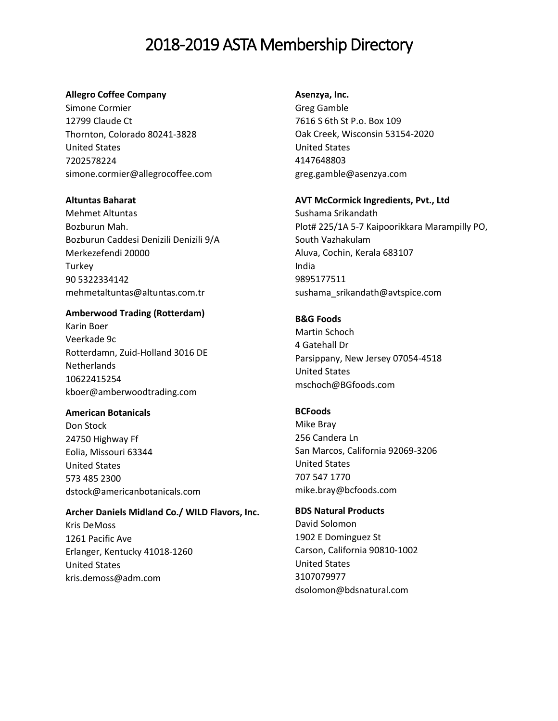#### **Allegro Coffee Company**

Simone Cormier 12799 Claude Ct Thornton, Colorado 80241-3828 United States 7202578224 simone.cormier@allegrocoffee.com

## **Altuntas Baharat**

Mehmet Altuntas Bozburun Mah. Bozburun Caddesi Denizili Denizili 9/A Merkezefendi 20000 **Turkey** 90 5322334142 mehmetaltuntas@altuntas.com.tr

## **Amberwood Trading (Rotterdam)**

Karin Boer Veerkade 9c Rotterdamn, Zuid-Holland 3016 DE **Netherlands** 10622415254 [kboer@amberwoodtrading.com](mailto:kboer@amberwoodtrading.com)

## **American Botanicals**

Don Stock 24750 Highway Ff Eolia, Missouri 63344 United States 573 485 2300 dstock@americanbotanicals.com

## **Archer Daniels Midland Co./ WILD Flavors, Inc.**  Kris DeMoss

1261 Pacific Ave Erlanger, Kentucky 41018-1260 United States kris.demoss@adm.com

#### **Asenzya, Inc.**

Greg Gamble 7616 S 6th St P.o. Box 109 Oak Creek, Wisconsin 53154-2020 United States 4147648803 greg.gamble@asenzya.com

#### **AVT McCormick Ingredients, Pvt., Ltd**

Sushama Srikandath Plot# 225/1A 5-7 Kaipoorikkara Marampilly PO, South Vazhakulam Aluva, Cochin, Kerala 683107 India 9895177511 sushama\_srikandath@avtspice.com

## **B&G Foods**

Martin Schoch 4 Gatehall Dr Parsippany, New Jersey 07054-4518 United States mschoch@BGfoods.com

## **BCFoods**

Mike Bray [256 Candera Ln](javascript:void(0);) [San Marcos, California 92069-3206](javascript:void(0);) [United States](javascript:void(0);) 707 547 1770 mike.bray@bcfoods.com

## **BDS Natural Products**

David Solomon 1902 E Dominguez St Carson, California 90810-1002 United States 3107079977 dsolomon@bdsnatural.com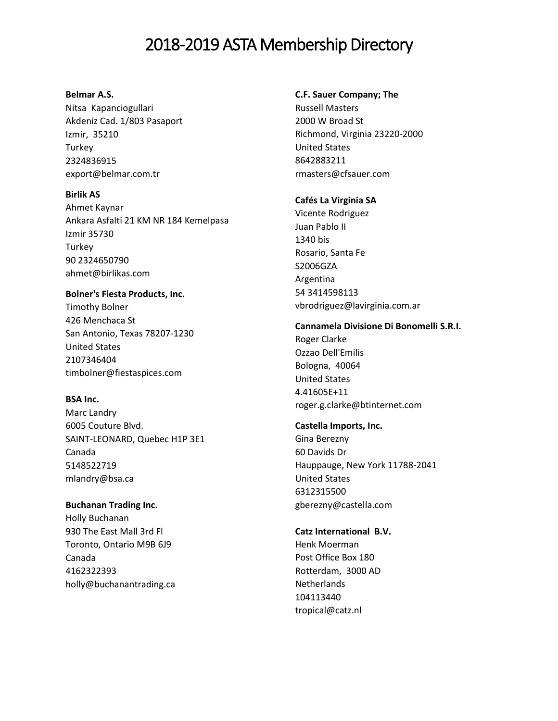#### **Belmar A.S.**

Nitsa Kapanciogullari Akdeniz Cad. 1/803 Pasaport Izmir, 35210 **Turkey** 2324836915 export@belmar.com.tr

#### **Birlik AS**

Ahmet Kaynar Ankara Asfalti 21 KM NR 184 Kemelpasa Izmir 35730 Turkey 90 2324650790 ahmet@birlikas.com

## **Bolner's Fiesta Products, Inc.**

Timothy Bolner 426 Menchaca St San Antonio, Texas 78207-1230 United States 2107346404 timbolner@fiestaspices.com

## **BSA Inc.**

Marc Landry 6005 Couture Blvd. SAINT-LEONARD, Quebec H1P 3E1 Canada 5148522719 mlandry@bsa.ca

## **Buchanan Trading Inc.**

Holly Buchanan 930 The East Mall 3rd Fl Toronto, Ontario M9B 6J9 Canada 4162322393 holly@buchanantrading.ca

## **C.F. Sauer Company; The**

Russell Masters 2000 W Broad St Richmond, Virginia 23220-2000 United States 8642883211 rmasters@cfsauer.com

## **Cafés La Virginia SA**

Vicente Rodriguez Juan Pablo II 1340 bis Rosario, Santa Fe S2006GZA Argentina 54 3414598113 vbrodriguez@lavirginia.com.ar

## **Cannamela Divisione Di Bonomelli S.R.I.**

Roger Clarke Ozzao Dell'Emilis Bologna, 40064 United States 4.41605E+11 roger.g.clarke@btinternet.com

## **Castella Imports, Inc.**

Gina Berezny 60 Davids Dr Hauppauge, New York 11788-2041 United States 6312315500 gberezny@castella.com

## **Catz International B.V.**

Henk Moerman Post Office Box 180 Rotterdam, 3000 AD **Netherlands** 104113440 tropical@catz.nl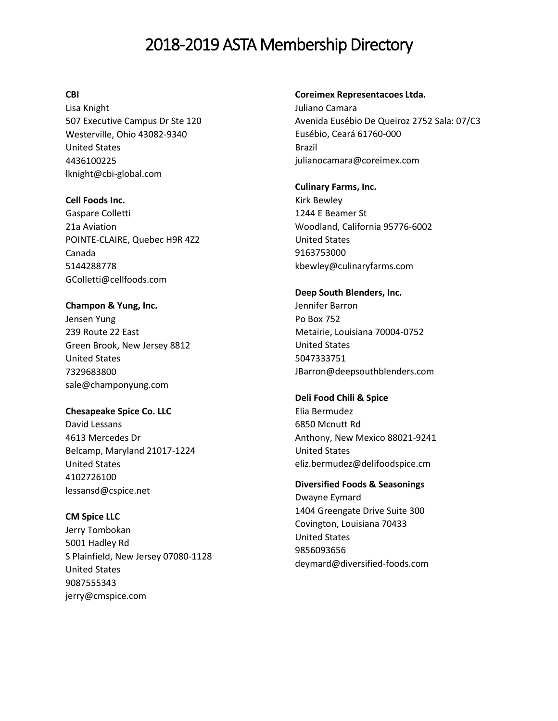## **CBI**

Lisa Knight 507 Executive Campus Dr Ste 120 Westerville, Ohio 43082-9340 United States 4436100225 lknight@cbi-global.com

#### **Cell Foods Inc.**

Gaspare Colletti 21a Aviation POINTE-CLAIRE, Quebec H9R 4Z2 Canada 5144288778 GColletti@cellfoods.com

#### **Champon & Yung, Inc.** Jensen Yung

239 Route 22 East Green Brook, New Jersey 8812 United States 7329683800 sale@champonyung.com

## **Chesapeake Spice Co. LLC**

David Lessans 4613 Mercedes Dr Belcamp, Maryland 21017-1224 United States 4102726100 lessansd@cspice.net

## **CM Spice LLC**

Jerry Tombokan 5001 Hadley Rd S Plainfield, New Jersey 07080-1128 United States 9087555343 jerry@cmspice.com

#### **Coreimex Representacoes Ltda.**

Juliano Camara Avenida Eusébio De Queiroz 2752 Sala: 07/C3 Eusébio, Ceará 61760-000 Brazil julianocamara@coreimex.com

#### **Culinary Farms, Inc.**

Kirk Bewley 1244 E Beamer St Woodland, California 95776-6002 United States 9163753000 kbewley@culinaryfarms.com

#### **Deep South Blenders, Inc.**

Jennifer Barron Po Box 752 Metairie, Louisiana 70004-0752 United States 5047333751 JBarron@deepsouthblenders.com

## **Deli Food Chili & Spice**

Elia Bermudez [6850 Mcnutt Rd](javascript:void(0);) [Anthony, New Mexico 88021-9241](javascript:void(0);) [United States](javascript:void(0);) eliz.bermudez@delifoodspice.cm

## **Diversified Foods & Seasonings**

Dwayne Eymard 1404 Greengate Drive Suite 300 Covington, Louisiana 70433 United States 9856093656 deymard@diversified-foods.com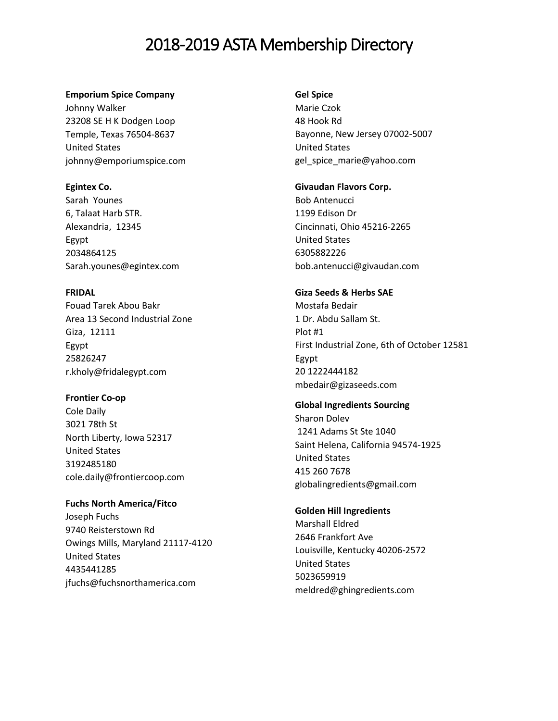#### **Emporium Spice Company**

Johnny Walker [23208 SE H K Dodgen Loop](javascript:void(0);) [Temple, Texas 76504-8637](javascript:void(0);) [United States](javascript:void(0);) johnny@emporiumspice.com

#### **Egintex Co.**

Sarah Younes 6, Talaat Harb STR. Alexandria, 12345 Egypt 2034864125 Sarah.younes@egintex.com

## **FRIDAL**

Fouad Tarek Abou Bakr Area 13 Second Industrial Zone Giza, 12111 Egypt 25826247 r.kholy@fridalegypt.com

## **Frontier Co-op**

Cole Daily 3021 78th St North Liberty, Iowa 52317 United States 3192485180 cole.daily@frontiercoop.com

## **Fuchs North America/Fitco**

Joseph Fuchs 9740 Reisterstown Rd Owings Mills, Maryland 21117-4120 United States 4435441285 jfuchs@fuchsnorthamerica.com

#### **Gel Spice**

Marie Czok 48 Hook Rd Bayonne, New Jersey 07002-5007 United States gel\_spice\_marie@yahoo.com

## **Givaudan Flavors Corp.**

Bob Antenucci 1199 Edison Dr Cincinnati, Ohio 45216-2265 United States 6305882226 bob.antenucci@givaudan.com

## **Giza Seeds & Herbs SAE**

Mostafa Bedair [1 Dr. Abdu Sallam St.](javascript:void(0);) [Plot #1](javascript:void(0);) [First Industrial Zone, 6th of October 12581](javascript:void(0);) [Egypt](javascript:void(0);) 20 1222444182 mbedair@gizaseeds.com

## **Global Ingredients Sourcing**

Sharon Dolev [1241 Adams St Ste 1040](javascript:void(0);) [Saint Helena, California 94574-1925](javascript:void(0);) [United States](javascript:void(0);) 415 260 7678 [globalingredients@gmail.com](mailto:globalingredients@gmail.com)

## **Golden Hill Ingredients**

Marshall Eldred 2646 Frankfort Ave Louisville, Kentucky 40206-2572 United States 5023659919 meldred@ghingredients.com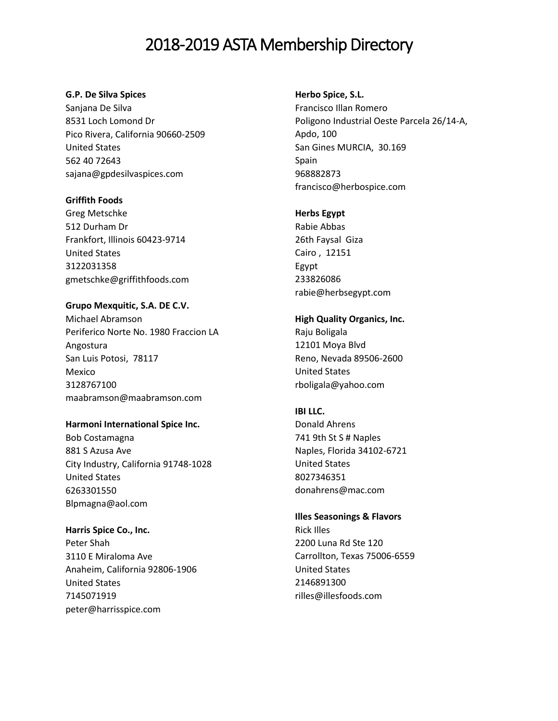### **G.P. De Silva Spices**

Sanjana De Silva [8531 Loch Lomond Dr](javascript:void(0);) [Pico Rivera, California 90660-2509](javascript:void(0);) [United States](javascript:void(0);) 562 40 72643 sajana@gpdesilvaspices.com

#### **Griffith Foods**

Greg Metschke 512 Durham Dr Frankfort, Illinois 60423-9714 United States 3122031358 gmetschke@griffithfoods.com

**Grupo Mexquitic, S.A. DE C.V.** Michael Abramson Periferico Norte No. 1980 Fraccion LA Angostura San Luis Potosi, 78117 Mexico 3128767100 maabramson@maabramson.com

## **Harmoni International Spice Inc.**

Bob Costamagna 881 S Azusa Ave City Industry, California 91748-1028 United States 6263301550 Blpmagna@aol.com

## **Harris Spice Co., Inc.**

Peter Shah 3110 E Miraloma Ave Anaheim, California 92806-1906 United States 7145071919 peter@harrisspice.com

### **Herbo Spice, S.L.**

Francisco Illan Romero Poligono Industrial Oeste Parcela 26/14-A, Apdo, 100 San Gines MURCIA, 30.169 Spain 968882873 francisco@herbospice.com

## **Herbs Egypt**

Rabie Abbas 26th Faysal Giza Cairo , 12151 Egypt 233826086 rabie@herbsegypt.com

## **High Quality Organics, Inc.** Raju Boligala 12101 Moya Blvd Reno, Nevada 89506-2600 United States rboligala@yahoo.com

## **IBI LLC.**

Donald Ahrens 741 9th St S # Naples Naples, Florida 34102-6721 United States 8027346351 donahrens@mac.com

## **Illes Seasonings & Flavors**

Rick Illes 2200 Luna Rd Ste 120 Carrollton, Texas 75006-6559 United States 2146891300 rilles@illesfoods.com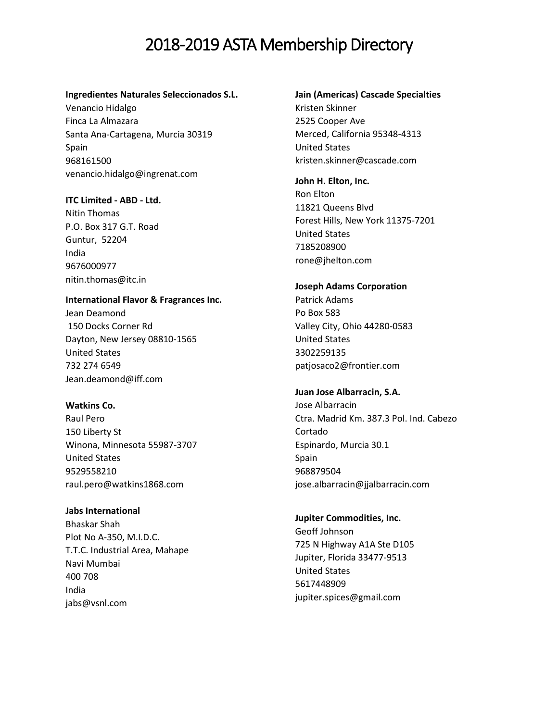#### **Ingredientes Naturales Seleccionados S.L.**

Venancio Hidalgo Finca La Almazara Santa Ana-Cartagena, Murcia 30319 Spain 968161500 venancio.hidalgo@ingrenat.com

#### **ITC Limited - ABD - Ltd.**

Nitin Thomas P.O. Box 317 G.T. Road Guntur, 52204 India 9676000977 nitin.thomas@itc.in

#### **International Flavor & Fragrances Inc.**

Jean Deamond [150 Docks Corner Rd](javascript:void(0);) [Dayton, New Jersey 08810-1565](javascript:void(0);) [United States](javascript:void(0);) 732 274 6549 Jean.deamond@iff.com

## **Watkins Co.**

Raul Pero 150 Liberty St Winona, Minnesota 55987-3707 United States 9529558210 raul.pero@watkins1868.com

## **Jabs International**

Bhaskar Shah Plot No A-350, M.I.D.C. T.T.C. Industrial Area, Mahape Navi Mumbai 400 708 India jabs@vsnl.com

## **Jain (Americas) Cascade Specialties**

Kristen Skinner 2525 Cooper Ave Merced, California 95348-4313 United States kristen.skinner@cascade.com

## **John H. Elton, Inc.**

Ron Elton 11821 Queens Blvd Forest Hills, New York 11375-7201 United States 7185208900 rone@jhelton.com

#### **Joseph Adams Corporation**

Patrick Adams Po Box 583 Valley City, Ohio 44280-0583 United States 3302259135 patjosaco2@frontier.com

## **Juan Jose Albarracin, S.A.**

Jose Albarracin Ctra. Madrid Km. 387.3 Pol. Ind. Cabezo Cortado Espinardo, Murcia 30.1 Spain 968879504 jose.albarracin@jjalbarracin.com

#### **Jupiter Commodities, Inc.**

Geoff Johnson 725 N Highway A1A Ste D105 Jupiter, Florida 33477-9513 United States 5617448909 jupiter.spices@gmail.com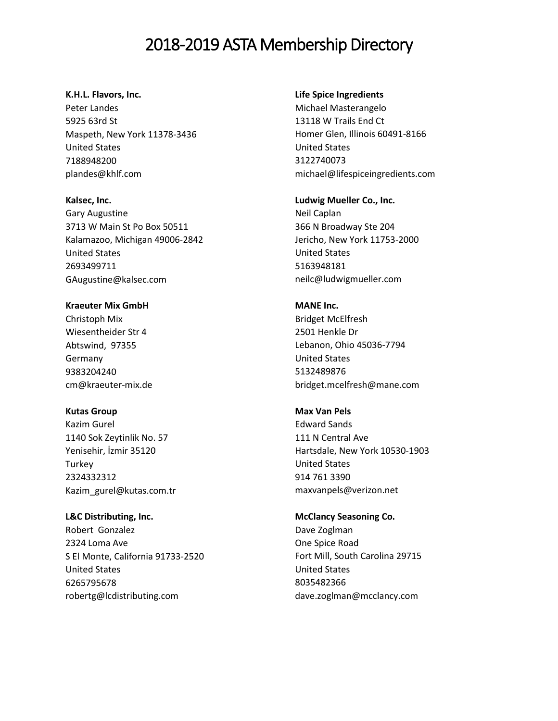#### **K.H.L. Flavors, Inc.**

Peter Landes 5925 63rd St Maspeth, New York 11378-3436 United States 7188948200 plandes@khlf.com

**Kalsec, Inc.**

Gary Augustine 3713 W Main St Po Box 50511 Kalamazoo, Michigan 49006-2842 United States 2693499711 GAugustine@kalsec.com

**Kraeuter Mix GmbH** Christoph Mix Wiesentheider Str 4 Abtswind, 97355 Germany 9383204240 cm@kraeuter-mix.de

**Kutas Group**

Kazim Gurel 1140 Sok Zeytinlik No. 57 Yenisehir, İzmir 35120 **Turkey** 2324332312 Kazim\_gurel@kutas.com.tr

**L&C Distributing, Inc.**  Robert Gonzalez 2324 Loma Ave S El Monte, California 91733-2520 United States 6265795678 robertg@lcdistributing.com

#### **Life Spice Ingredients**

Michael Masterangelo 13118 W Trails End Ct Homer Glen, Illinois 60491-8166 United States 3122740073 michael@lifespiceingredients.com

**Ludwig Mueller Co., Inc.** Neil Caplan 366 N Broadway Ste 204 Jericho, New York 11753-2000 United States

5163948181 neilc@ludwigmueller.com

**MANE Inc.** Bridget McElfresh 2501 Henkle Dr Lebanon, Ohio 45036-7794 United States 5132489876 bridget.mcelfresh@mane.com

**Max Van Pels**  Edward Sands [111 N Central Ave](javascript:void(0);) [Hartsdale, New York 10530-1903](javascript:void(0);) [United States](javascript:void(0);) 914 761 3390 [maxvanpels@verizon.net](mailto:maxvanpels@verizon.net)

**McClancy Seasoning Co.** Dave Zoglman One Spice Road Fort Mill, South Carolina 29715 United States 8035482366 dave.zoglman@mcclancy.com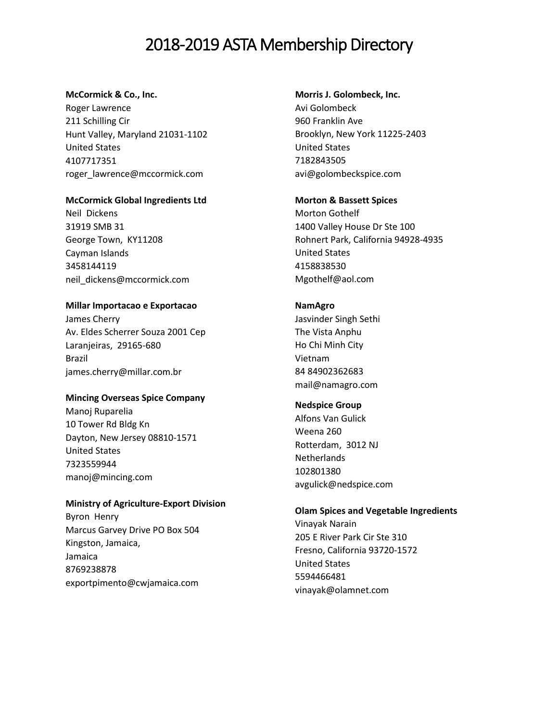#### **McCormick & Co., Inc.**

Roger Lawrence 211 Schilling Cir Hunt Valley, Maryland 21031-1102 United States 4107717351 roger\_lawrence@mccormick.com

## **McCormick Global Ingredients Ltd**

Neil Dickens 31919 SMB 31 George Town, KY11208 Cayman Islands 3458144119 neil\_dickens@mccormick.com

## **Millar Importacao e Exportacao**

James Cherry Av. Eldes Scherrer Souza 2001 Cep Laranjeiras, 29165-680 Brazil james.cherry@millar.com.br

## **Mincing Overseas Spice Company**

Manoj Ruparelia 10 Tower Rd Bldg Kn Dayton, New Jersey 08810-1571 United States 7323559944 [manoj@mincing.com](mailto:manoj@mincing.com)

## **Ministry of Agriculture-Export Division**

Byron Henry Marcus Garvey Drive PO Box 504 Kingston, Jamaica, Jamaica 8769238878 exportpimento@cwjamaica.com

## **Morris J. Golombeck, Inc.**

Avi Golombeck 960 Franklin Ave Brooklyn, New York 11225-2403 United States 7182843505 avi@golombeckspice.com

## **Morton & Bassett Spices**

Morton Gothelf 1400 Valley House Dr Ste 100 Rohnert Park, California 94928-4935 United States 4158838530 Mgothelf@aol.com

## **NamAgro**

Jasvinder Singh Sethi The Vista Anphu Ho Chi Minh City Vietnam 84 84902362683 mail@namagro.com

## **Nedspice Group**

Alfons Van Gulick Weena 260 Rotterdam, 3012 NJ **Netherlands** 102801380 avgulick@nedspice.com

## **Olam Spices and Vegetable Ingredients**

Vinayak Narain 205 E River Park Cir Ste 310 Fresno, California 93720-1572 United States 5594466481 vinayak@olamnet.com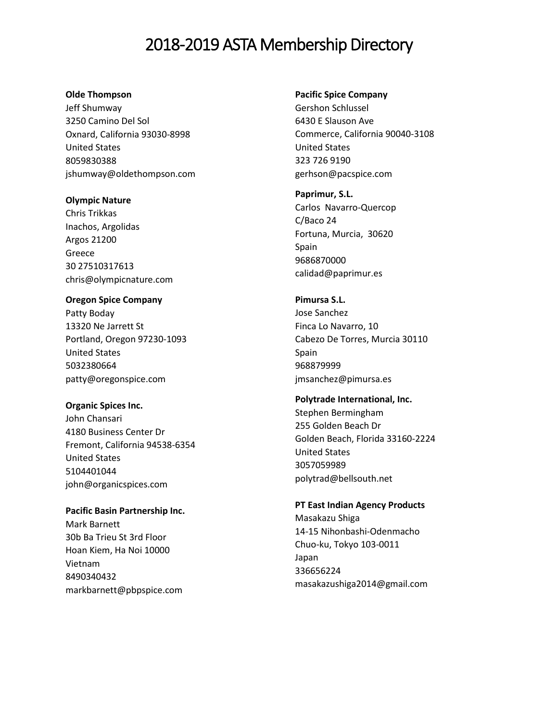#### **Olde Thompson**

Jeff Shumway 3250 Camino Del Sol Oxnard, California 93030-8998 United States 8059830388 jshumway@oldethompson.com

## **Olympic Nature**

Chris Trikkas Inachos, Argolidas Argos 21200 Greece 30 27510317613 chris@olympicnature.com

**Oregon Spice Company** Patty Boday 13320 Ne Jarrett St Portland, Oregon 97230-1093 United States 5032380664 patty@oregonspice.com

**Organic Spices Inc.**  John Chansari 4180 Business Center Dr Fremont, California 94538-6354 United States 5104401044 john@organicspices.com

**Pacific Basin Partnership Inc.** Mark Barnett 30b Ba Trieu St 3rd Floor Hoan Kiem, Ha Noi 10000 Vietnam 8490340432 markbarnett@pbpspice.com

#### **Pacific Spice Company**

Gershon Schlussel [6430 E Slauson Ave](javascript:void(0);) [Commerce, California 90040-3108](javascript:void(0);) [United States](javascript:void(0);) 323 726 9190 gerhson@pacspice.com

**Paprimur, S.L.**  Carlos Navarro-Quercop C/Baco 24 Fortuna, Murcia, 30620 Spain 9686870000 calidad@paprimur.es

**Pimursa S.L.** Jose Sanchez Finca Lo Navarro, 10 Cabezo De Torres, Murcia 30110 Spain 968879999 [jmsanchez@pimursa.es](mailto:jmsanchez@pimursa.es)

**Polytrade International, Inc.** Stephen Bermingham 255 Golden Beach Dr Golden Beach, Florida 33160-2224 United States 3057059989 [polytrad@bellsouth.net](mailto:polytrad@bellsouth.net)

**PT East Indian Agency Products** Masakazu Shiga 14-15 Nihonbashi-Odenmacho Chuo-ku, Tokyo 103-0011 Japan 336656224 masakazushiga2014@gmail.com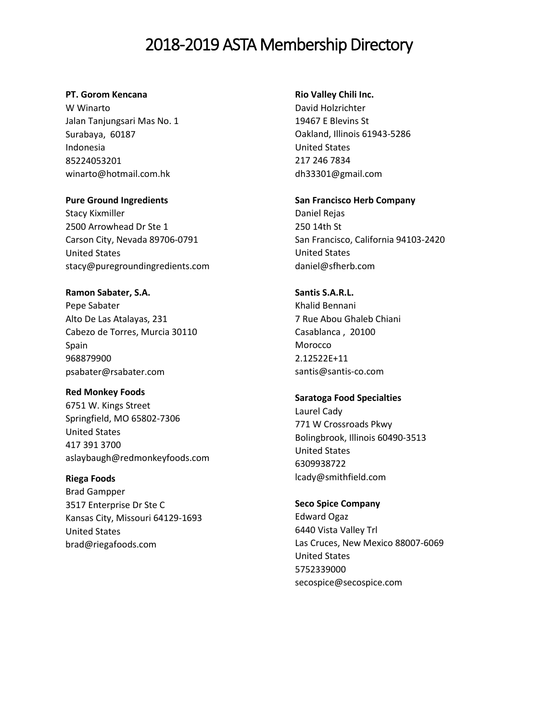#### **PT. Gorom Kencana**

W Winarto Jalan Tanjungsari Mas No. 1 Surabaya, 60187 Indonesia 85224053201 winarto@hotmail.com.hk

#### **Pure Ground Ingredients**

Stacy Kixmiller 2500 Arrowhead Dr Ste 1 Carson City, Nevada 89706-0791 United States stacy@puregroundingredients.com

**Ramon Sabater, S.A.** Pepe Sabater Alto De Las Atalayas, 231 Cabezo de Torres, Murcia 30110 Spain 968879900 psabater@rsabater.com

**Red Monkey Foods**  6751 W. Kings Street Springfield, MO 65802-7306 United States 417 391 3700 aslaybaugh@redmonkeyfoods.com

**Riega Foods**  Brad Gampper 3517 Enterprise Dr Ste C Kansas City, Missouri 64129-1693 United States brad@riegafoods.com

#### **Rio Valley Chili Inc.**

David Holzrichter [19467 E Blevins St](javascript:void(0);) [Oakland, Illinois 61943-5286](javascript:void(0);) [United States](javascript:void(0);) 217 246 7834 dh33301@gmail.com

**San Francisco Herb Company** Daniel Rejas

250 14th St San Francisco, California 94103-2420 United States daniel@sfherb.com

**Santis S.A.R.L.**

Khalid Bennani 7 Rue Abou Ghaleb Chiani Casablanca , 20100 Morocco 2.12522E+11 santis@santis-co.com

#### **Saratoga Food Specialties**

Laurel Cady 771 W Crossroads Pkwy Bolingbrook, Illinois 60490-3513 United States 6309938722 lcady@smithfield.com

#### **Seco Spice Company**

Edward Ogaz 6440 Vista Valley Trl Las Cruces, New Mexico 88007-6069 United States 5752339000 secospice@secospice.com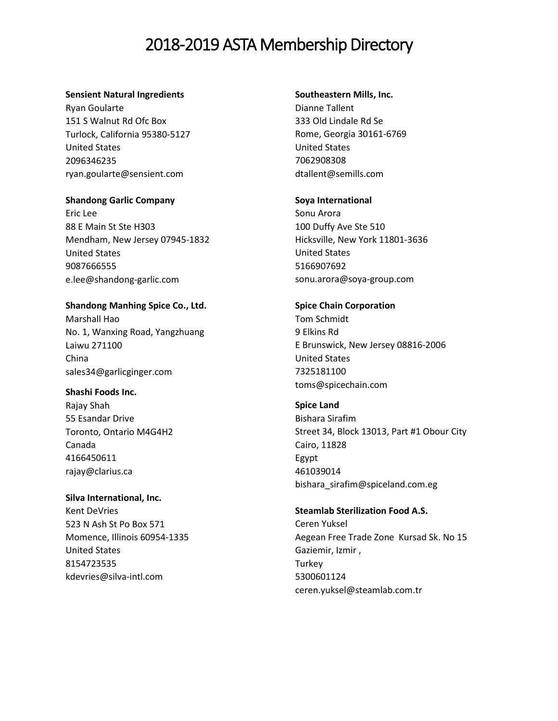#### **Sensient Natural Ingredients**

Ryan Goularte 151 S Walnut Rd Ofc Box Turlock, California 95380-5127 United States 2096346235 ryan.goularte@sensient.com

#### **Shandong Garlic Company**

Eric Lee 88 E Main St Ste H303 Mendham, New Jersey 07945-1832 United States 9087666555 e.lee@shandong-garlic.com

## **Shandong Manhing Spice Co., Ltd.**

Marshall Hao No. 1, Wanxing Road, Yangzhuang Laiwu 271100 China sales34@garlicginger.com

#### **Shashi Foods Inc.**

Rajay Shah 55 Esandar Drive Toronto, Ontario M4G4H2 Canada 4166450611 rajay@clarius.ca

## **Silva International, Inc.** Kent DeVries 523 N Ash St Po Box 571 Momence, Illinois 60954-1335 United States 8154723535 kdevries@silva-intl.com

#### **Southeastern Mills, Inc.**

Dianne Tallent 333 Old Lindale Rd Se Rome, Georgia 30161-6769 United States 7062908308 dtallent@semills.com

#### **Soya International**

Sonu Arora 100 Duffy Ave Ste 510 Hicksville, New York 11801-3636 United States 5166907692 sonu.arora@soya-group.com

#### **Spice Chain Corporation**

Tom Schmidt 9 Elkins Rd E Brunswick, New Jersey 08816-2006 United States 7325181100 toms@spicechain.com

**Spice Land** Bishara Sirafim Street 34, Block 13013, Part #1 Obour City Cairo, 11828 Egypt 461039014 bishara\_sirafim@spiceland.com.eg

## **Steamlab Sterilization Food A.S.**  Ceren Yuksel Aegean Free Trade Zone Kursad Sk. No 15 Gaziemir, Izmir , **Turkey** 5300601124 ceren.yuksel@steamlab.com.tr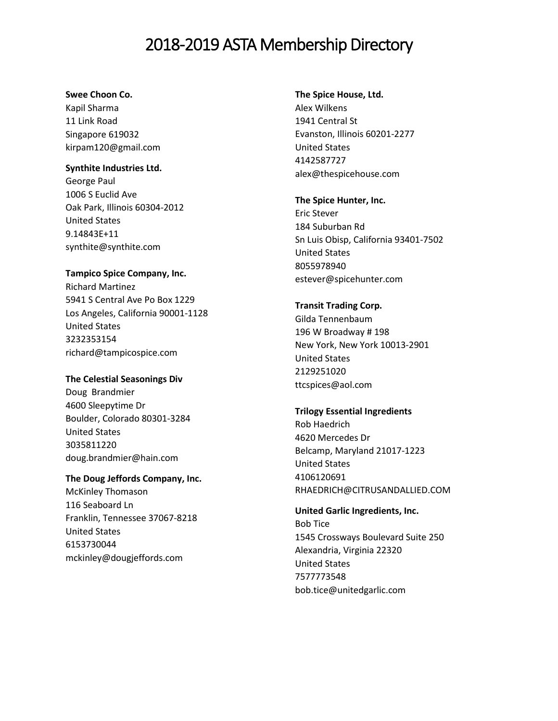#### **Swee Choon Co.**

Kapil Sharma [11 Link Road](javascript:void(0);) [Singapore](javascript:void(0);) 619032 kirpam120@gmail.com

## **Synthite Industries Ltd.**

George Paul 1006 S Euclid Ave Oak Park, Illinois 60304-2012 United States 9.14843E+11 synthite@synthite.com

## **Tampico Spice Company, Inc.**

Richard Martinez 5941 S Central Ave Po Box 1229 Los Angeles, California 90001-1128 United States 3232353154 richard@tampicospice.com

## **The Celestial Seasonings Div**

Doug Brandmier 4600 Sleepytime Dr Boulder, Colorado 80301-3284 United States 3035811220 doug.brandmier@hain.com

## **The Doug Jeffords Company, Inc.**

McKinley Thomason 116 Seaboard Ln Franklin, Tennessee 37067-8218 United States 6153730044 mckinley@dougjeffords.com

## **The Spice House, Ltd.**

Alex Wilkens 1941 Central St Evanston, Illinois 60201-2277 United States 4142587727 alex@thespicehouse.com

## **The Spice Hunter, Inc.**

Eric Stever 184 Suburban Rd Sn Luis Obisp, California 93401-7502 United States 8055978940 estever@spicehunter.com

## **Transit Trading Corp.**

Gilda Tennenbaum 196 W Broadway # 198 New York, New York 10013-2901 United States 2129251020 ttcspices@aol.com

## **Trilogy Essential Ingredients**

Rob Haedrich 4620 Mercedes Dr Belcamp, Maryland 21017-1223 United States 4106120691 RHAEDRICH@CITRUSANDALLIED.COM

## **United Garlic Ingredients, Inc.**  Bob Tice 1545 Crossways Boulevard Suite 250 Alexandria, Virginia 22320 United States 7577773548 bob.tice@unitedgarlic.com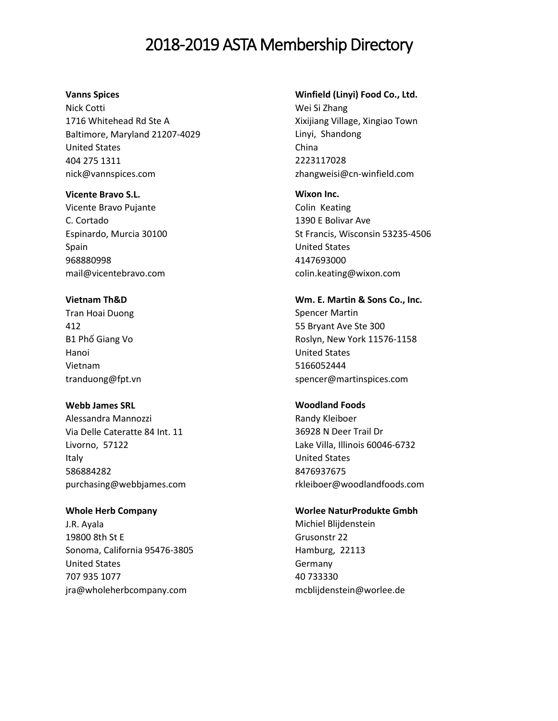#### **Vanns Spices**

Nick Cotti [1716 Whitehead Rd Ste A](javascript:void(0);) [Baltimore, Maryland 21207-4029](javascript:void(0);) [United States](javascript:void(0);) 404 275 1311 nick@vannspices.com

**Vicente Bravo S.L.** Vicente Bravo Pujante C. Cortado Espinardo, Murcia 30100 Spain 968880998 mail@vicentebravo.com

## **Vietnam Th&D**  Tran Hoai Duong

[412](javascript:void(0);) B1 Phố [Giang Vo](javascript:void(0);) [Hanoi](javascript:void(0);) [Vietnam](javascript:void(0);) tranduong@fpt.vn

## **Webb James SRL**

Alessandra Mannozzi Via Delle Cateratte 84 Int. 11 Livorno, 57122 Italy 586884282 purchasing@webbjames.com

## **Whole Herb Company**

J.R. Ayala [19800 8th St E](javascript:void(0);) [Sonoma, California 95476-3805](javascript:void(0);) [United States](javascript:void(0);) 707 935 1077 jra@wholeherbcompany.com

#### **Winfield (Linyi) Food Co., Ltd.**

Wei Si Zhang Xixijiang Village, Xingiao Town Linyi, Shandong China 2223117028 zhangweisi@cn-winfield.com

**Wixon Inc.**

Colin Keating 1390 E Bolivar Ave St Francis, Wisconsin 53235-4506 United States 4147693000 colin.keating@wixon.com

**Wm. E. Martin & Sons Co., Inc.** Spencer Martin 55 Bryant Ave Ste 300 Roslyn, New York 11576-1158 United States 5166052444 spencer@martinspices.com

## **Woodland Foods**

Randy Kleiboer 36928 N Deer Trail Dr Lake Villa, Illinois 60046-6732 United States 8476937675 rkleiboer@woodlandfoods.com

## **Worlee NaturProdukte Gmbh**

Michiel Blijdenstein Grusonstr 22 Hamburg, 22113 Germany 40 733330 [mcblijdenstein@worlee.de](mailto:mcblijdenstein@worlee.de)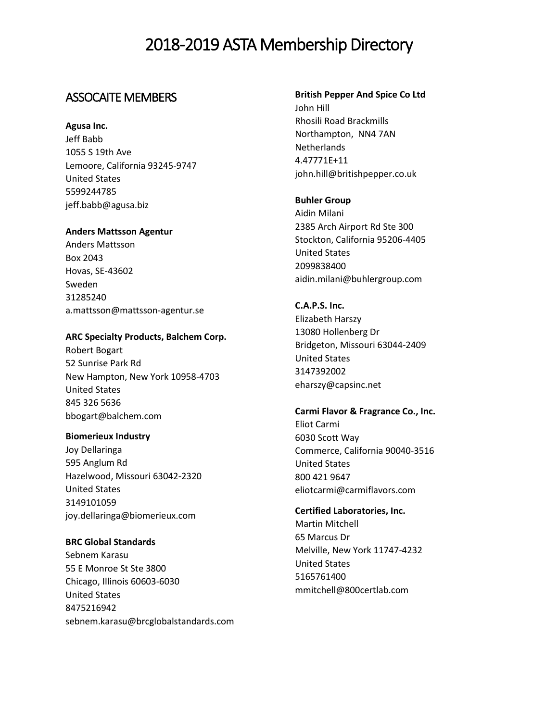## ASSOCAITE MEMBERS

**Agusa Inc.** 

Jeff Babb 1055 S 19th Ave Lemoore, California 93245-9747 United States 5599244785 jeff.babb@agusa.biz

#### **Anders Mattsson Agentur**

Anders Mattsson Box 2043 Hovas, SE-43602 Sweden 31285240 a.mattsson@mattsson-agentur.se

#### **ARC Specialty Products, Balchem Corp.**

Robert Bogart [52 Sunrise Park Rd](javascript:void(0);) [New Hampton, New York 10958-4703](javascript:void(0);) [United States](javascript:void(0);) 845 326 5636 bbogart@balchem.com

#### **Biomerieux Industry**

Joy Dellaringa 595 Anglum Rd Hazelwood, Missouri 63042-2320 United States 3149101059 joy.dellaringa@biomerieux.com

**BRC Global Standards**  Sebnem Karasu 55 E Monroe St Ste 3800 Chicago, Illinois 60603-6030 United States 8475216942 sebnem.karasu@brcglobalstandards.com

## **British Pepper And Spice Co Ltd**

John Hill Rhosili Road Brackmills Northampton, NN4 7AN Netherlands 4.47771E+11 john.hill@britishpepper.co.uk

#### **Buhler Group**

Aidin Milani 2385 Arch Airport Rd Ste 300 Stockton, California 95206-4405 United States 2099838400 aidin.milani@buhlergroup.com

## **C.A.P.S. Inc.** Elizabeth Harszy

13080 Hollenberg Dr Bridgeton, Missouri 63044-2409 United States 3147392002 eharszy@capsinc.net

## **Carmi Flavor & Fragrance Co., Inc.**  Eliot Carmi [6030 Scott Way](javascript:void(0);)

[Commerce, California 90040-3516](javascript:void(0);) [United States](javascript:void(0);) 800 421 9647 eliotcarmi@carmiflavors.com

## **Certified Laboratories, Inc.** Martin Mitchell 65 Marcus Dr Melville, New York 11747-4232 United States 5165761400

mmitchell@800certlab.com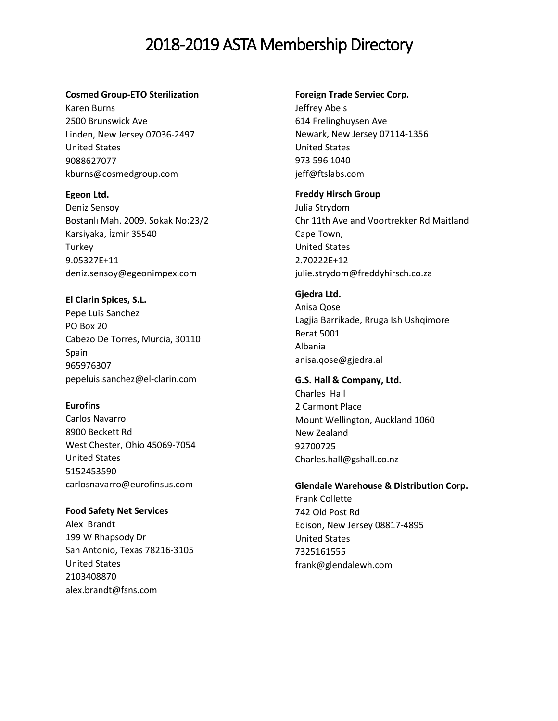#### **Cosmed Group-ETO Sterilization**

Karen Burns 2500 Brunswick Ave Linden, New Jersey 07036-2497 United States 9088627077 kburns@cosmedgroup.com

## **Egeon Ltd.**

Deniz Sensoy Bostanlı Mah. 2009. Sokak No:23/2 Karsiyaka, İzmir 35540 **Turkey** 9.05327E+11 deniz.sensoy@egeonimpex.com

**El Clarin Spices, S.L.**  Pepe Luis Sanchez PO Box 20 Cabezo De Torres, Murcia, 30110 Spain 965976307 pepeluis.sanchez@el-clarin.com

## **Eurofins**

Carlos Navarro 8900 Beckett Rd West Chester, Ohio 45069-7054 United States 5152453590 carlosnavarro@eurofinsus.com

**Food Safety Net Services** Alex Brandt 199 W Rhapsody Dr San Antonio, Texas 78216-3105 United States 2103408870 alex.brandt@fsns.com

## **Foreign Trade Serviec Corp.**

Jeffrey Abels [614 Frelinghuysen Ave](javascript:void(0);) [Newark, New Jersey 07114-1356](javascript:void(0);) [United States](javascript:void(0);) 973 596 1040 jeff@ftslabs.com

#### **Freddy Hirsch Group**

Julia Strydom Chr 11th Ave and Voortrekker Rd Maitland Cape Town, United States 2.70222E+12 julie.strydom@freddyhirsch.co.za

#### **Gjedra Ltd.**

Anisa Qose Lagjia Barrikade, Rruga Ish Ushqimore Berat 5001 Albania anisa.qose@gjedra.al

## **G.S. Hall & Company, Ltd.**

Charles Hall 2 Carmont Place Mount Wellington, Auckland 1060 New Zealand 92700725 Charles.hall@gshall.co.nz

## **Glendale Warehouse & Distribution Corp.**

Frank Collette 742 Old Post Rd Edison, New Jersey 08817-4895 United States 7325161555 frank@glendalewh.com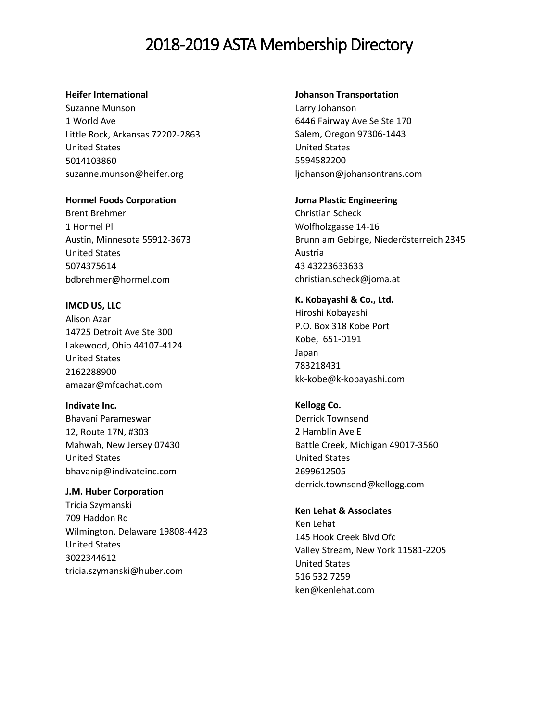#### **Heifer International**

Suzanne Munson 1 World Ave Little Rock, Arkansas 72202-2863 United States 5014103860 suzanne.munson@heifer.org

**Hormel Foods Corporation** 

Brent Brehmer 1 Hormel Pl Austin, Minnesota 55912-3673 United States 5074375614 bdbrehmer@hormel.com

**IMCD US, LLC** Alison Azar 14725 Detroit Ave Ste 300 Lakewood, Ohio 44107-4124 United States 2162288900 amazar@mfcachat.com

**Indivate Inc.**  Bhavani Parameswar [12, Route 17N, #303](javascript:void(0);) [Mahwah, New Jersey 07430](javascript:void(0);) [United States](javascript:void(0);) bhavanip@indivateinc.com

**J.M. Huber Corporation** Tricia Szymanski 709 Haddon Rd Wilmington, Delaware 19808-4423 United States 3022344612 tricia.szymanski@huber.com

**Johanson Transportation**

Larry Johanson 6446 Fairway Ave Se Ste 170 Salem, Oregon 97306-1443 United States 5594582200 ljohanson@johansontrans.com

**Joma Plastic Engineering**  Christian Scheck [Wolfholzgasse 14-16](javascript:void(0);) [Brunn am Gebirge, Niederösterreich 2345](javascript:void(0);) [Austria](javascript:void(0);) 43 43223633633 christian.scheck@joma.at

**K. Kobayashi & Co., Ltd.** Hiroshi Kobayashi P.O. Box 318 Kobe Port Kobe, 651-0191 Japan 783218431 kk-kobe@k-kobayashi.com

**Kellogg Co.** Derrick Townsend 2 Hamblin Ave E Battle Creek, Michigan 49017-3560 United States 2699612505 derrick.townsend@kellogg.com

**Ken Lehat & Associates**  Ken Lehat [145 Hook Creek Blvd Ofc](javascript:void(0);) [Valley Stream, New York 11581-2205](javascript:void(0);) [United States](javascript:void(0);) 516 532 7259 ken@kenlehat.com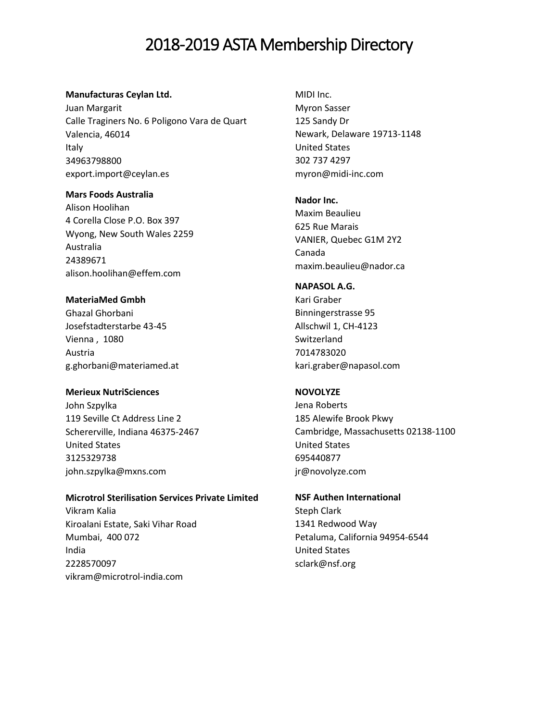#### **Manufacturas Ceylan Ltd.**

Juan Margarit Calle Traginers No. 6 Poligono Vara de Quart Valencia, 46014 Italy 34963798800 export.import@ceylan.es

## **Mars Foods Australia**

Alison Hoolihan 4 Corella Close P.O. Box 397 Wyong, New South Wales 2259 Australia 24389671 alison.hoolihan@effem.com

#### **MateriaMed Gmbh**

Ghazal Ghorbani Josefstadterstarbe 43-45 Vienna , 1080 Austria g.ghorbani@materiamed.at

## **Merieux NutriSciences**

John Szpylka 119 Seville Ct Address Line 2 Schererville, Indiana 46375-2467 United States 3125329738 john.szpylka@mxns.com

#### **Microtrol Sterilisation Services Private Limited**

Vikram Kalia Kiroalani Estate, Saki Vihar Road Mumbai, 400 072 India 2228570097 vikram@microtrol-india.com

MIDI Inc. Myron Sasser [125 Sandy Dr](javascript:void(0);) [Newark, Delaware 19713-1148](javascript:void(0);) [United States](javascript:void(0);) 302 737 4297 myron@midi-inc.com

#### **Nador Inc.**

Maxim Beaulieu 625 Rue Marais VANIER, Quebec G1M 2Y2 Canada maxim.beaulieu@nador.ca

## **NAPASOL A.G.**

Kari Graber Binningerstrasse 95 Allschwil 1, CH-4123 Switzerland 7014783020 kari.graber@napasol.com

## **NOVOLYZE**

Jena Roberts 185 Alewife Brook Pkwy Cambridge, Massachusetts 02138-1100 United States 695440877 jr@novolyze.com

## **NSF Authen International**

Steph Clark [1341 Redwood Way](javascript:void(0);) [Petaluma, California 94954-6544](javascript:void(0);) [United States](javascript:void(0);) [sclark@nsf.org](mailto:sclark@nsf.org)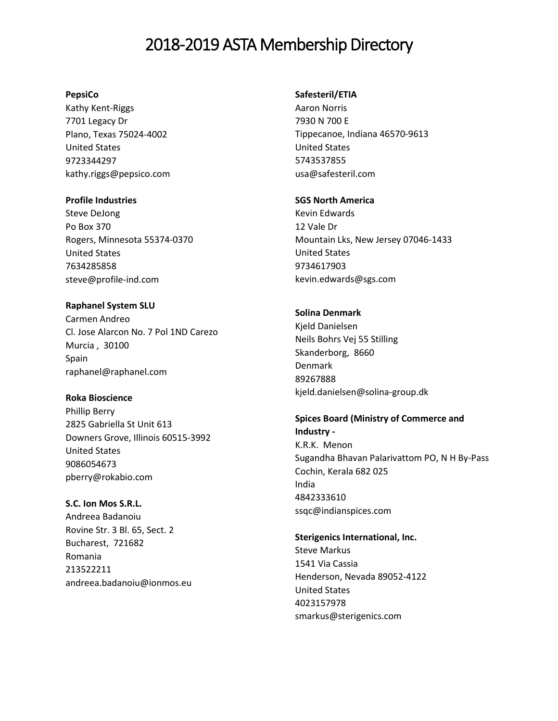#### **PepsiCo**

Kathy Kent-Riggs 7701 Legacy Dr Plano, Texas 75024-4002 United States 9723344297 kathy.riggs@pepsico.com

#### **Profile Industries**

Steve DeJong Po Box 370 Rogers, Minnesota 55374-0370 United States 7634285858 steve@profile-ind.com

**Raphanel System SLU**  Carmen Andreo Cl. Jose Alarcon No. 7 Pol 1ND Carezo Murcia , 30100 Spain raphanel@raphanel.com

## **Roka Bioscience**

Phillip Berry 2825 Gabriella St Unit 613 Downers Grove, Illinois 60515-3992 United States 9086054673 pberry@rokabio.com

## **S.C. Ion Mos S.R.L.**

Andreea Badanoiu Rovine Str. 3 Bl. 65, Sect. 2 Bucharest, 721682 Romania 213522211 andreea.badanoiu@ionmos.eu

#### **Safesteril/ETIA**

Aaron Norris 7930 N 700 E Tippecanoe, Indiana 46570-9613 United States 5743537855 usa@safesteril.com

#### **SGS North America**

Kevin Edwards 12 Vale Dr Mountain Lks, New Jersey 07046-1433 United States 9734617903 kevin.edwards@sgs.com

## **Solina Denmark**

Kjeld Danielsen Neils Bohrs Vej 55 Stilling Skanderborg, 8660 Denmark 89267888 kjeld.danielsen@solina-group.dk

## **Spices Board (Ministry of Commerce and**

**Industry -** K.R.K. Menon Sugandha Bhavan Palarivattom PO, N H By-Pass Cochin, Kerala 682 025 India 4842333610 ssqc@indianspices.com

## **Sterigenics International, Inc.**

Steve Markus 1541 Via Cassia Henderson, Nevada 89052-4122 United States 4023157978 smarkus@sterigenics.com